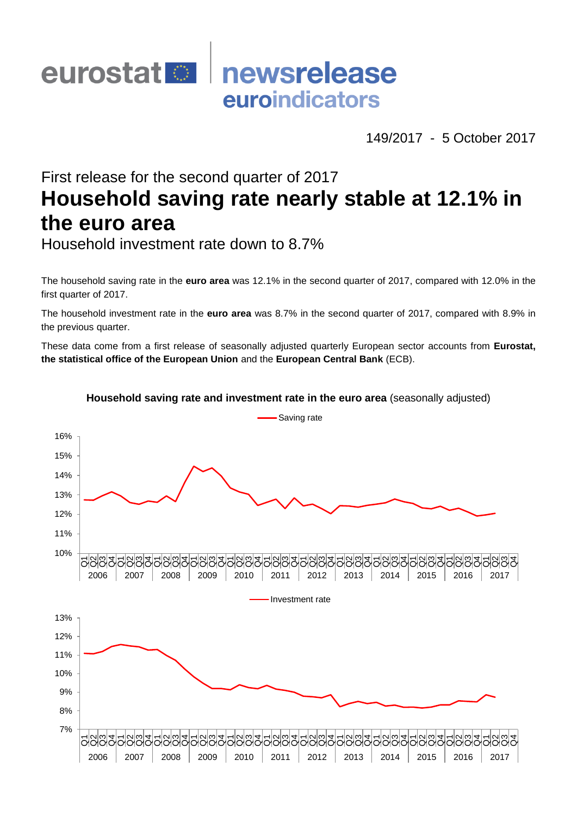## eurostat<sup>®</sup> newsrelease euroindicators

149/2017 - 5 October 2017

# First release for the second quarter of 2017 **Household saving rate nearly stable at 12.1% in the euro area**

Household investment rate down to 8.7%

The household saving rate in the **euro area** was 12.1% in the second quarter of 2017, compared with 12.0% in the first quarter of 2017.

The household investment rate in the **euro area** was 8.7% in the second quarter of 2017, compared with 8.9% in the previous quarter.

These data come from a first release of seasonally adjusted quarterly European sector accounts from **Eurostat, the statistical office of the European Union** and the **European Central Bank** (ECB).



#### **Household saving rate and investment rate in the euro area** (seasonally adjusted)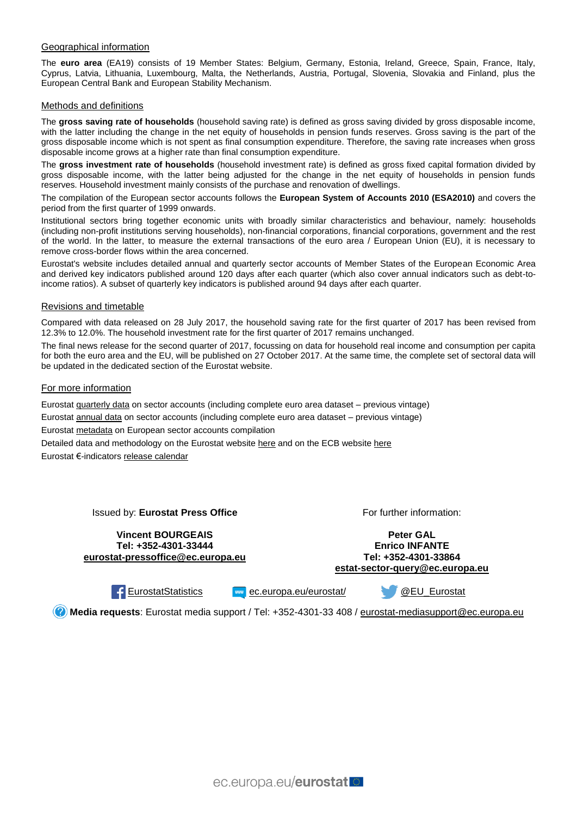#### Geographical information

The **euro area** (EA19) consists of 19 Member States: Belgium, Germany, Estonia, Ireland, Greece, Spain, France, Italy, Cyprus, Latvia, Lithuania, Luxembourg, Malta, the Netherlands, Austria, Portugal, Slovenia, Slovakia and Finland, plus the European Central Bank and European Stability Mechanism.

#### Methods and definitions

The **gross saving rate of households** (household saving rate) is defined as gross saving divided by gross disposable income, with the latter including the change in the net equity of households in pension funds reserves. Gross saving is the part of the gross disposable income which is not spent as final consumption expenditure. Therefore, the saving rate increases when gross disposable income grows at a higher rate than final consumption expenditure.

The **gross investment rate of households** (household investment rate) is defined as gross fixed capital formation divided by gross disposable income, with the latter being adjusted for the change in the net equity of households in pension funds reserves. Household investment mainly consists of the purchase and renovation of dwellings.

The compilation of the European sector accounts follows the **European System of Accounts 2010 (ESA2010)** and covers the period from the first quarter of 1999 onwards.

Institutional sectors bring together economic units with broadly similar characteristics and behaviour, namely: households (including non-profit institutions serving households), non-financial corporations, financial corporations, government and the rest of the world. In the latter, to measure the external transactions of the euro area / European Union (EU), it is necessary to remove cross-border flows within the area concerned.

Eurostat's website includes detailed annual and quarterly sector accounts of Member States of the European Economic Area and derived key indicators published around 120 days after each quarter (which also cover annual indicators such as debt-toincome ratios). A subset of quarterly key indicators is published around 94 days after each quarter.

#### Revisions and timetable

Compared with data released on 28 July 2017, the household saving rate for the first quarter of 2017 has been revised from 12.3% to 12.0%. The household investment rate for the first quarter of 2017 remains unchanged.

The final news release for the second quarter of 2017, focussing on data for household real income and consumption per capita for both the euro area and the EU, will be published on 27 October 2017. At the same time, the complete set of sectoral data will be updated in the dedicated section of the Eurostat website.

#### For more information

Eurostat [quarterly data](http://ec.europa.eu/eurostat/web/sector-accounts/data/quarterly-data) on sector accounts (including complete euro area dataset – previous vintage)

Eurostat [annual data](http://ec.europa.eu/eurostat/web/sector-accounts/data/annual-data) on sector accounts (including complete euro area dataset – previous vintage)

Eurostat [metadata](http://ec.europa.eu/eurostat/cache/metadata/en/nasq_10_nf_tr_esms.htm) on European sector accounts compilation

Detailed data and methodology on the Eurostat website [here](http://ec.europa.eu/eurostat/sectoraccounts) and on the ECB website [here](http://www.ecb.eu/stats/acc/html/index.en.html)

Eurostat €-indicator[s release calendar](http://ec.europa.eu/eurostat/news/release-calendar)

Issued by: **Eurostat Press Office**

**Vincent BOURGEAIS Tel: +352-4301-33444 [eurostat-pressoffice@ec.europa.eu](mailto:eurostat-pressoffice@ec.europa.eu)** For further information:

**Peter GAL Enrico INFANTE Tel: +352-4301-33864 [estat-sector-query@ec.europa.eu](mailto:estat-sector-query@ec.europa.eu)**

[EurostatStatistics](http://www.facebook.com/EurostatStatistics) **Europa.eu/eurostat/** 

[@EU\\_Eurostat](http://twitter.com/EU_Eurostat)

**Media requests**: Eurostat media support / Tel: +352-4301-33 408 / [eurostat-mediasupport@ec.europa.eu](mailto:eurostat-mediasupport@ec.europa.eu)